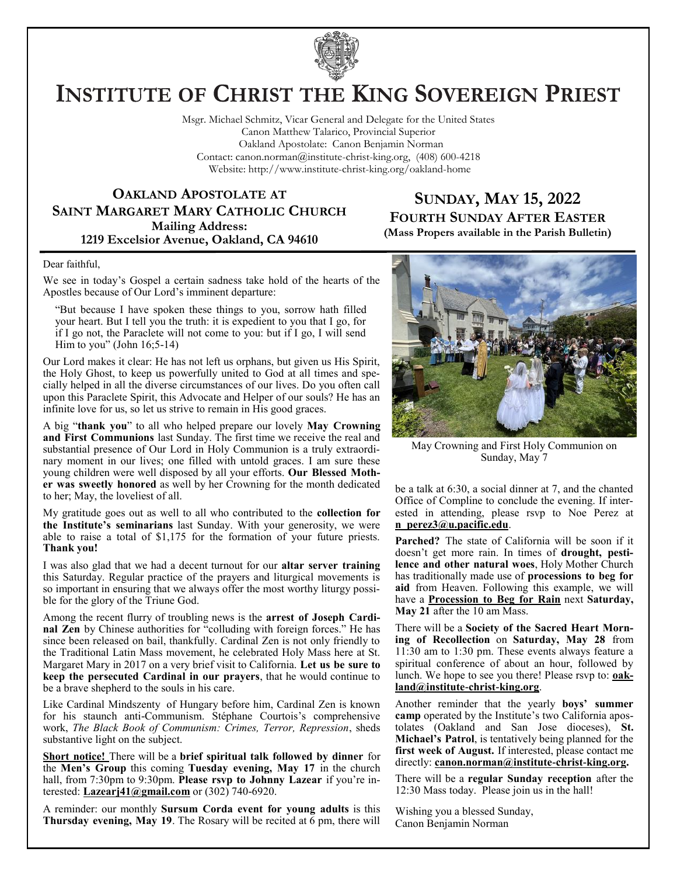

# **INSTITUTE OF CHRIST THE KING SOVEREIGN PRIEST**

Msgr. Michael Schmitz, Vicar General and Delegate for the United States Canon Matthew Talarico, Provincial Superior Oakland Apostolate: Canon Benjamin Norman Contact: canon.norman@institute-christ-king.org, (408) 600-4218 Website: http://www.institute-christ-king.org/oakland-home

# **OAKLAND APOSTOLATE AT SAINT MARGARET MARY CATHOLIC CHURCH Mailing Address: 1219 Excelsior Avenue, Oakland, CA 94610**

# **SUNDAY, MAY 15, 2022 FOURTH SUNDAY AFTER EASTER (Mass Propers available in the Parish Bulletin)**

#### Dear faithful,

We see in today's Gospel a certain sadness take hold of the hearts of the Apostles because of Our Lord's imminent departure:

"But because I have spoken these things to you, sorrow hath filled your heart. But I tell you the truth: it is expedient to you that I go, for if I go not, the Paraclete will not come to you: but if I go, I will send Him to you" (John 16;5-14)

Our Lord makes it clear: He has not left us orphans, but given us His Spirit, the Holy Ghost, to keep us powerfully united to God at all times and specially helped in all the diverse circumstances of our lives. Do you often call upon this Paraclete Spirit, this Advocate and Helper of our souls? He has an infinite love for us, so let us strive to remain in His good graces.

A big "**thank you**" to all who helped prepare our lovely **May Crowning and First Communions** last Sunday. The first time we receive the real and substantial presence of Our Lord in Holy Communion is a truly extraordinary moment in our lives; one filled with untold graces. I am sure these young children were well disposed by all your efforts. **Our Blessed Mother was sweetly honored** as well by her Crowning for the month dedicated to her; May, the loveliest of all.

My gratitude goes out as well to all who contributed to the **collection for the Institute's seminarians** last Sunday. With your generosity, we were able to raise a total of \$1,175 for the formation of your future priests. **Thank you!**

I was also glad that we had a decent turnout for our **altar server training**  this Saturday. Regular practice of the prayers and liturgical movements is so important in ensuring that we always offer the most worthy liturgy possible for the glory of the Triune God.

Among the recent flurry of troubling news is the **arrest of Joseph Cardinal Zen** by Chinese authorities for "colluding with foreign forces." He has since been released on bail, thankfully. Cardinal Zen is not only friendly to the Traditional Latin Mass movement, he celebrated Holy Mass here at St. Margaret Mary in 2017 on a very brief visit to California. **Let us be sure to keep the persecuted Cardinal in our prayers**, that he would continue to be a brave shepherd to the souls in his care.

Like Cardinal Mindszenty of Hungary before him, Cardinal Zen is known for his staunch anti-Communism. Stéphane Courtois's comprehensive work, *The Black Book of Communism: Crimes, Terror, Repression*, sheds substantive light on the subject.

**Short notice!** There will be a **brief spiritual talk followed by dinner** for the **Men's Group** this coming **Tuesday evening, May 17** in the church hall, from 7:30pm to 9:30pm. **Please rsvp to Johnny Lazear** if you're interested: **[Lazearj41@gmail.com](mailto:Lazearj41@gmail.com)** or (302) 740-6920.

A reminder: our monthly **Sursum Corda event for young adults** is this **Thursday evening, May 19**. The Rosary will be recited at 6 pm, there will



May Crowning and First Holy Communion on Sunday, May 7

be a talk at 6:30, a social dinner at 7, and the chanted Office of Compline to conclude the evening. If interested in attending, please rsvp to Noe Perez at **[n\\_perez3@u.pacific.edu](mailto:n_perez3@u.pacific.edu)**.

**Parched?** The state of California will be soon if it doesn't get more rain. In times of **drought, pestilence and other natural woes**, Holy Mother Church has traditionally made use of **processions to beg for aid** from Heaven. Following this example, we will have a **Procession to Beg for Rain** next **Saturday, May 21** after the 10 am Mass.

There will be a **Society of the Sacred Heart Morning of Recollection** on **Saturday, May 28** from 11:30 am to 1:30 pm. These events always feature a spiritual conference of about an hour, followed by lunch. We hope to see you there! Please rsvp to: **[oak](mailto:oakland@institute-christ-king.org)[land@institute-christ-king.org](mailto:oakland@institute-christ-king.org)**.

Another reminder that the yearly **boys' summer camp** operated by the Institute's two California apostolates (Oakland and San Jose dioceses), **St. Michael's Patrol**, is tentatively being planned for the **first week of August.** If interested, please contact me directly: **[canon.norman@institute-christ-king.org.](mailto:canon.norman@institute-christ-king.org)**

There will be a **regular Sunday reception** after the 12:30 Mass today. Please join us in the hall!

Wishing you a blessed Sunday, Canon Benjamin Norman